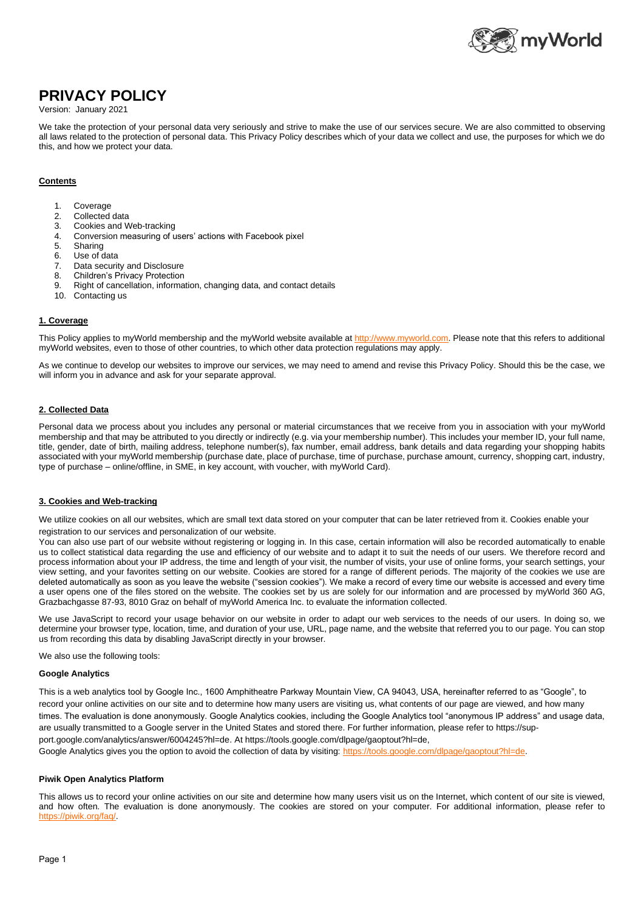

# **PRIVACY POLICY**

#### Version: January 2021

We take the protection of your personal data very seriously and strive to make the use of our services secure. We are also committed to observing all laws related to the protection of personal data. This Privacy Policy describes which of your data we collect and use, the purposes for which we do this, and how we protect your data.

## **Contents**

- 1. Coverage
- 2. Collected data
- 3. Cookies and Web-tracking
- 4. Conversion measuring of users' actions with Facebook pixel
- Sharing
- 6. Use of data
- 7. Data security and Disclosure
- 8. Children's Privacy Protection
- 9. Right of cancellation, information, changing data, and contact details
- 10. Contacting us

#### **1. Coverage**

This Policy applies to myWorld membership and the myWorld website available at [http://www.myworld.com.](http://www.myworld.com/) Please note that this refers to additional myWorld websites, even to those of other countries, to which other data protection regulations may apply.

As we continue to develop our websites to improve our services, we may need to amend and revise this Privacy Policy. Should this be the case, we will inform you in advance and ask for your separate approval.

## **2. Collected Data**

Personal data we process about you includes any personal or material circumstances that we receive from you in association with your myWorld membership and that may be attributed to you directly or indirectly (e.g. via your membership number). This includes your member ID, your full name, title, gender, date of birth, mailing address, telephone number(s), fax number, email address, bank details and data regarding your shopping habits associated with your myWorld membership (purchase date, place of purchase, time of purchase, purchase amount, currency, shopping cart, industry, type of purchase – online/offline, in SME, in key account, with voucher, with myWorld Card).

# **3. Cookies and Web-tracking**

We utilize cookies on all our websites, which are small text data stored on your computer that can be later retrieved from it. Cookies enable your registration to our services and personalization of our website.

You can also use part of our website without registering or logging in. In this case, certain information will also be recorded automatically to enable us to collect statistical data regarding the use and efficiency of our website and to adapt it to suit the needs of our users. We therefore record and process information about your IP address, the time and length of your visit, the number of visits, your use of online forms, your search settings, your view setting, and your favorites setting on our website. Cookies are stored for a range of different periods. The majority of the cookies we use are deleted automatically as soon as you leave the website ("session cookies"). We make a record of every time our website is accessed and every time a user opens one of the files stored on the website. The cookies set by us are solely for our information and are processed by myWorld 360 AG, Grazbachgasse 87-93, 8010 Graz on behalf of myWorld America Inc. to evaluate the information collected.

We use JavaScript to record your usage behavior on our website in order to adapt our web services to the needs of our users. In doing so, we determine your browser type, location, time, and duration of your use, URL, page name, and the website that referred you to our page. You can stop us from recording this data by disabling JavaScript directly in your browser.

We also use the following tools:

#### **Google Analytics**

This is a web analytics tool by Google Inc., 1600 Amphitheatre Parkway Mountain View, CA 94043, USA, hereinafter referred to as "Google", to record your online activities on our site and to determine how many users are visiting us, what contents of our page are viewed, and how many times. The evaluation is done anonymously. Google Analytics cookies, including the Google Analytics tool "anonymous IP address" and usage data, are usually transmitted to a Google server in the United States and stored there. For further information, please refer t[o https://sup](https://support.google.com/analytics/answer/6004245?hl=de)[port.google.com/analytics/answer/6004245?hl=de.](https://support.google.com/analytics/answer/6004245?hl=de) A[t https://tools.google.com/dlpage/gaoptout?hl=de,](https://tools.google.com/dlpage/gaoptout?hl=de)

Google Analytics gives you the option to avoid the collection of data by visiting: https://tools.google.com/dlpage/gaoptout?hl=de.

#### **Piwik Open Analytics Platform**

This allows us to record your online activities on our site and determine how many users visit us on the Internet, which content of our site is viewed, and how often. The evaluation is done anonymously. The cookies are stored on your computer. For additional information, please refer to https://piwik.org/fag/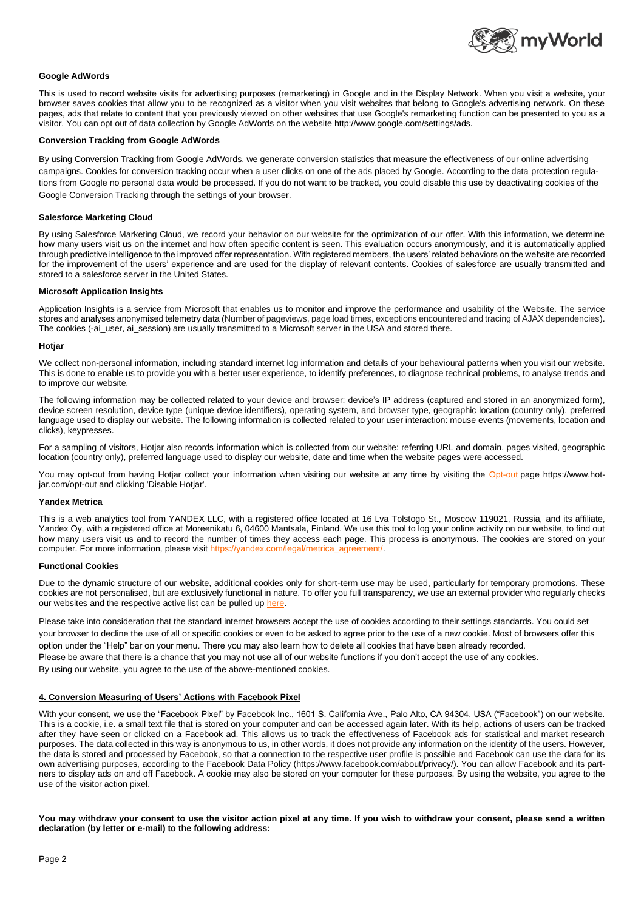

# **Google AdWords**

This is used to record website visits for advertising purposes (remarketing) in Google and in the Display Network. When you visit a website, your browser saves cookies that allow you to be recognized as a visitor when you visit websites that belong to Google's advertising network. On these pages, ads that relate to content that you previously viewed on other websites that use Google's remarketing function can be presented to you as a visitor. You can opt out of data collection by Google AdWords on the website http://www.google.com/settings/ads.

### **Conversion Tracking from Google AdWords**

By using Conversion Tracking from Google AdWords, we generate conversion statistics that measure the effectiveness of our online advertising campaigns. Cookies for conversion tracking occur when a user clicks on one of the ads placed by Google. According to the data protection regulations from Google no personal data would be processed. If you do not want to be tracked, you could disable this use by deactivating cookies of the Google Conversion Tracking through the settings of your browser.

#### **Salesforce Marketing Cloud**

By using Salesforce Marketing Cloud, we record your behavior on our website for the optimization of our offer. With this information, we determine how many users visit us on the internet and how often specific content is seen. This evaluation occurs anonymously, and it is automatically applied through predictive intelligence to the improved offer representation. With registered members, the users' related behaviors on the website are recorded for the improvement of the users' experience and are used for the display of relevant contents. Cookies of salesforce are usually transmitted and stored to a salesforce server in the United States.

#### **Microsoft Application Insights**

Application Insights is a service from Microsoft that enables us to monitor and improve the performance and usability of the Website. The service stores and analyses anonymised telemetry data (Number of pageviews, page load times, exceptions encountered and tracing of AJAX dependencies). The cookies (-ai\_user, ai\_session) are usually transmitted to a Microsoft server in the USA and stored there.

#### **Hotjar**

We collect non-personal information, including standard internet log information and details of your behavioural patterns when you visit our website. This is done to enable us to provide you with a better user experience, to identify preferences, to diagnose technical problems, to analyse trends and to improve our website.

The following information may be collected related to your device and browser: device's IP address (captured and stored in an anonymized form), device screen resolution, device type (unique device identifiers), operating system, and browser type, geographic location (country only), preferred language used to display our website. The following information is collected related to your user interaction: mouse events (movements, location and clicks), keypresses.

For a sampling of visitors, Hotjar also records information which is collected from our website: referring URL and domain, pages visited, geographic location (country only), preferred language used to display our website, date and time when the website pages were accessed.

You may opt-out from having Hotjar collect your information when visiting our website at any time by visiting the [Opt-out](https://www.hotjar.com/opt-out) page https://www.hotjar.com/opt-out and clicking 'Disable Hotjar'.

#### **Yandex Metrica**

This is a web analytics tool from YANDEX LLC, with a registered office located at 16 Lva Tolstogo St., Moscow 119021, Russia, and its affiliate, Yandex Oy, with a registered office at Moreenikatu 6, 04600 Mantsala, Finland. We use this tool to log your online activity on our website, to find out how many users visit us and to record the number of times they access each page. This process is anonymous. The cookies are stored on your computer. For more information, please visi[t https://yandex.com/legal/metrica\\_agreement/.](https://yandex.com/legal/metrica_agreement/)

#### **Functional Cookies**

Due to the dynamic structure of our website, additional cookies only for short-term use may be used, particularly for temporary promotions. These cookies are not personalised, but are exclusively functional in nature. To offer you full transparency, we use an external provider who regularly checks our websites and the respective active list can be pulled up [here.](https://l.mwscdn.io/large/download/public/agreements/linksprivacypolicy/privacy_policy_functional_cookies.pdf)

Please take into consideration that the standard internet browsers accept the use of cookies according to their settings standards. You could set your browser to decline the use of all or specific cookies or even to be asked to agree prior to the use of a new cookie. Most of browsers offer this option under the "Help" bar on your menu. There you may also learn how to delete all cookies that have been already recorded. Please be aware that there is a chance that you may not use all of our website functions if you don't accept the use of any cookies. By using our website, you agree to the use of the above-mentioned cookies.

## **4. Conversion Measuring of Users' Actions with Facebook Pixel**

With your consent, we use the "Facebook Pixel" by Facebook Inc., 1601 S. California Ave., Palo Alto, CA 94304, USA ("Facebook") on our website. This is a cookie, i.e. a small text file that is stored on your computer and can be accessed again later. With its help, actions of users can be tracked after they have seen or clicked on a Facebook ad. This allows us to track the effectiveness of Facebook ads for statistical and market research purposes. The data collected in this way is anonymous to us, in other words, it does not provide any information on the identity of the users. However, the data is stored and processed by Facebook, so that a connection to the respective user profile is possible and Facebook can use the data for its own advertising purposes, according to the Facebook Data Policy (https://www.facebook.com/about/privacy/). You can allow Facebook and its partners to display ads on and off Facebook. A cookie may also be stored on your computer for these purposes. By using the website, you agree to the use of the visitor action pixel.

**You may withdraw your consent to use the visitor action pixel at any time. If you wish to withdraw your consent, please send a written declaration (by letter or e-mail) to the following address:**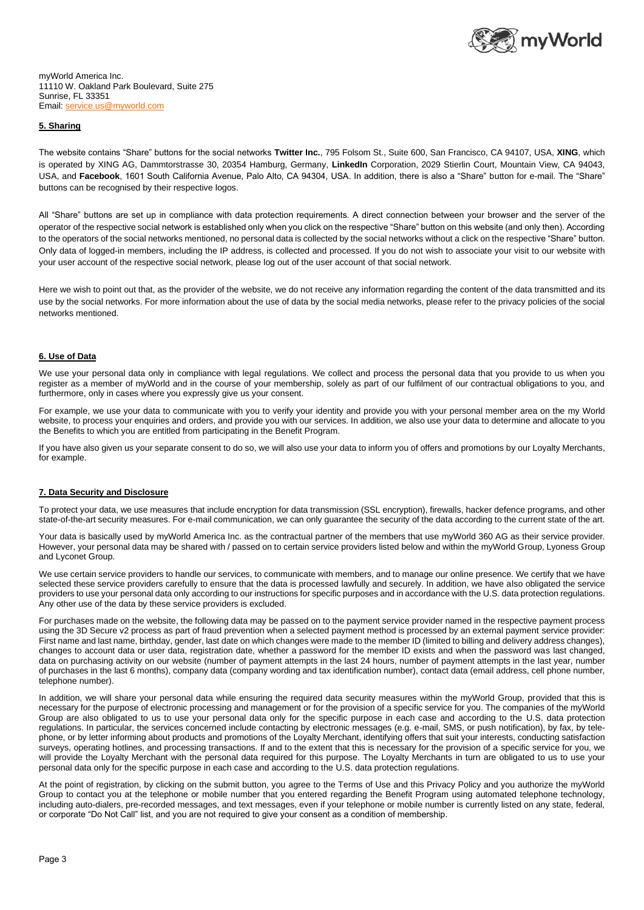

myWorld America Inc. 11110 W. Oakland Park Boulevard, Suite 275 Sunrise, FL 33351 Email[: service.us@myworld.com](mailto:service.us@myworld.com)

# **5. Sharing**

The website contains "Share" buttons for the social networks **Twitter Inc.**, 795 Folsom St., Suite 600, San Francisco, CA 94107, USA, **XING**, which is operated by XING AG, Dammtorstrasse 30, 20354 Hamburg, Germany, **LinkedIn** Corporation, 2029 Stierlin Court, Mountain View, CA 94043, USA, and **Facebook**, 1601 South California Avenue, Palo Alto, CA 94304, USA. In addition, there is also a "Share" button for e-mail. The "Share" buttons can be recognised by their respective logos.

All "Share" buttons are set up in compliance with data protection requirements. A direct connection between your browser and the server of the operator of the respective social network is established only when you click on the respective "Share" button on this website (and only then). According to the operators of the social networks mentioned, no personal data is collected by the social networks without a click on the respective "Share" button. Only data of logged-in members, including the IP address, is collected and processed. If you do not wish to associate your visit to our website with your user account of the respective social network, please log out of the user account of that social network.

Here we wish to point out that, as the provider of the website, we do not receive any information regarding the content of the data transmitted and its use by the social networks. For more information about the use of data by the social media networks, please refer to the privacy policies of the social networks mentioned.

## **6. Use of Data**

We use your personal data only in compliance with legal regulations. We collect and process the personal data that you provide to us when you register as a member of myWorld and in the course of your membership, solely as part of our fulfilment of our contractual obligations to you, and furthermore, only in cases where you expressly give us your consent.

For example, we use your data to communicate with you to verify your identity and provide you with your personal member area on the my World website, to process your enquiries and orders, and provide you with our services. In addition, we also use your data to determine and allocate to you the Benefits to which you are entitled from participating in the Benefit Program.

If you have also given us your separate consent to do so, we will also use your data to inform you of offers and promotions by our Loyalty Merchants, for example.

# **7. Data Security and Disclosure**

To protect your data, we use measures that include encryption for data transmission (SSL encryption), firewalls, hacker defence programs, and other state-of-the-art security measures. For e-mail communication, we can only guarantee the security of the data according to the current state of the art.

Your data is basically used by myWorld America Inc. as the contractual partner of the members that use myWorld 360 AG as their service provider. However, your personal data may be shared with / passed on to certain service providers listed below and within the myWorld Group, Lyoness Group and Lyconet Group.

We use certain service providers to handle our services, to communicate with members, and to manage our online presence. We certify that we have selected these service providers carefully to ensure that the data is processed lawfully and securely. In addition, we have also obligated the service providers to use your personal data only according to our instructions for specific purposes and in accordance with the U.S. data protection regulations. Any other use of the data by these service providers is excluded.

For purchases made on the website, the following data may be passed on to the payment service provider named in the respective payment process using the 3D Secure v2 process as part of fraud prevention when a selected payment method is processed by an external payment service provider: First name and last name, birthday, gender, last date on which changes were made to the member ID (limited to billing and delivery address changes), changes to account data or user data, registration date, whether a password for the member ID exists and when the password was last changed, data on purchasing activity on our website (number of payment attempts in the last 24 hours, number of payment attempts in the last year, number of purchases in the last 6 months), company data (company wording and tax identification number), contact data (email address, cell phone number, telephone number).

In addition, we will share your personal data while ensuring the required data security measures within the myWorld Group, provided that this is necessary for the purpose of electronic processing and management or for the provision of a specific service for you. The companies of the myWorld Group are also obligated to us to use your personal data only for the specific purpose in each case and according to the U.S. data protection regulations. In particular, the services concerned include contacting by electronic messages (e.g. e-mail, SMS, or push notification), by fax, by telephone, or by letter informing about products and promotions of the Loyalty Merchant, identifying offers that suit your interests, conducting satisfaction surveys, operating hotlines, and processing transactions. If and to the extent that this is necessary for the provision of a specific service for you, we will provide the Loyalty Merchant with the personal data required for this purpose. The Loyalty Merchants in turn are obligated to us to use your personal data only for the specific purpose in each case and according to the U.S. data protection regulations.

At the point of registration, by clicking on the submit button, you agree to the Terms of Use and this Privacy Policy and you authorize the myWorld Group to contact you at the telephone or mobile number that you entered regarding the Benefit Program using automated telephone technology, including auto-dialers, pre-recorded messages, and text messages, even if your telephone or mobile number is currently listed on any state, federal, or corporate "Do Not Call" list, and you are not required to give your consent as a condition of membership.